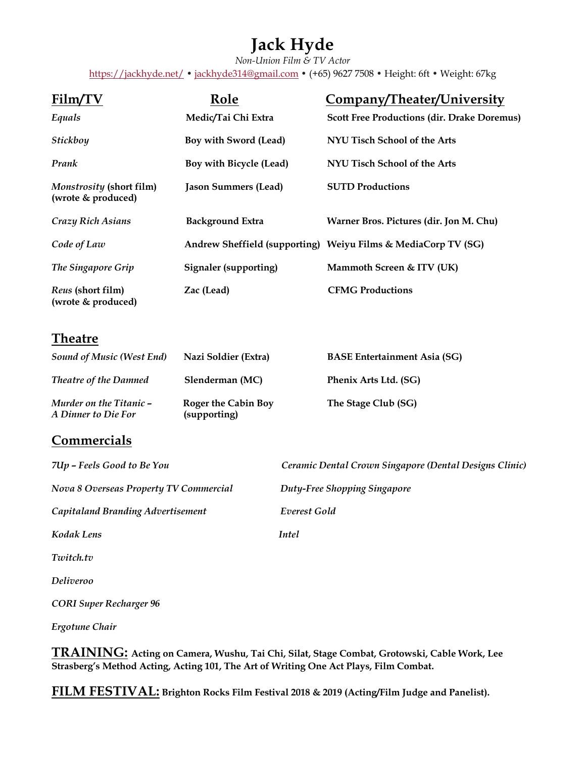## **Jack Hyde**

*Non-Union Film & TV Actor*

https://jackhyde.net/ • jackhyde314@gmail.com • (+65) 9627 7508 • Height: 6ft • Weight: 67kg

| Film/TV                                               | Role                                       |                                     | Company/Theater/University                                    |
|-------------------------------------------------------|--------------------------------------------|-------------------------------------|---------------------------------------------------------------|
| Equals                                                | Medic/Tai Chi Extra                        |                                     | <b>Scott Free Productions (dir. Drake Doremus)</b>            |
| Stickboy                                              | Boy with Sword (Lead)                      |                                     | NYU Tisch School of the Arts                                  |
| Prank                                                 | Boy with Bicycle (Lead)                    |                                     | NYU Tisch School of the Arts                                  |
| Monstrosity (short film)<br>(wrote & produced)        | <b>Jason Summers (Lead)</b>                |                                     | <b>SUTD Productions</b>                                       |
| Crazy Rich Asians                                     | <b>Background Extra</b>                    |                                     | Warner Bros. Pictures (dir. Jon M. Chu)                       |
| Code of Law                                           |                                            |                                     | Andrew Sheffield (supporting) Weiyu Films & MediaCorp TV (SG) |
| The Singapore Grip                                    | <b>Signaler</b> (supporting)               |                                     | Mammoth Screen & ITV (UK)                                     |
| Reus (short film)<br>(wrote & produced)               | Zac (Lead)                                 |                                     | <b>CFMG Productions</b>                                       |
| <b>Theatre</b>                                        |                                            |                                     |                                                               |
| <b>Sound of Music (West End)</b>                      | Nazi Soldier (Extra)                       |                                     | <b>BASE Entertainment Asia (SG)</b>                           |
| Theatre of the Damned                                 | Slenderman (MC)                            |                                     | Phenix Arts Ltd. (SG)                                         |
| <b>Murder on the Titanic -</b><br>A Dinner to Die For | <b>Roger the Cabin Boy</b><br>(supporting) |                                     | The Stage Club (SG)                                           |
| Commercials                                           |                                            |                                     |                                                               |
| 7Up - Feels Good to Be You                            |                                            |                                     | Ceramic Dental Crown Singapore (Dental Designs Clinic)        |
| Nova 8 Overseas Property TV Commercial                |                                            | <b>Duty-Free Shopping Singapore</b> |                                                               |
| <b>Capitaland Branding Advertisement</b>              |                                            | Everest Gold                        |                                                               |
| Kodak Lens                                            |                                            | <b>Intel</b>                        |                                                               |
| Twitch.tv                                             |                                            |                                     |                                                               |
| Deliveroo                                             |                                            |                                     |                                                               |
| <b>CORI Super Recharger 96</b>                        |                                            |                                     |                                                               |
| Ergotune Chair                                        |                                            |                                     |                                                               |

**TRAINING: Acting on Camera, Wushu, Tai Chi, Silat, Stage Combat, Grotowski, Cable Work, Lee Strasberg's Method Acting, Acting 101, The Art of Writing One Act Plays, Film Combat.**

**FILM FESTIVAL: Brighton Rocks Film Festival 2018 & 2019 (Acting/Film Judge and Panelist).**